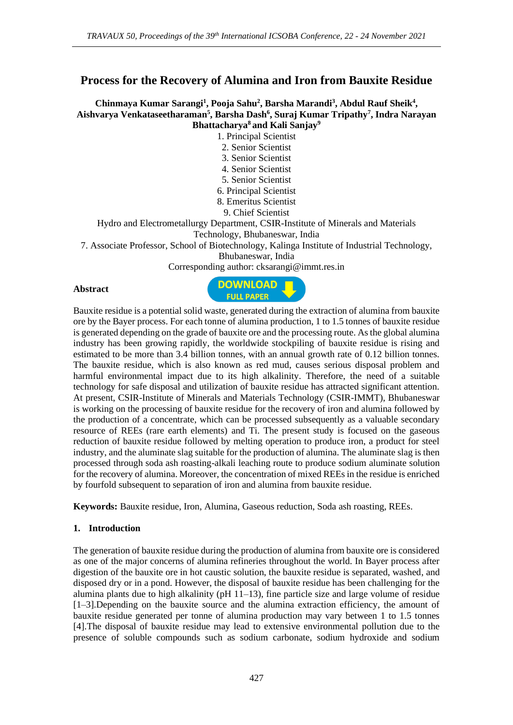# **Process for the Recovery of Alumina and Iron from Bauxite Residue**

#### **Chinmaya Kumar Sarangi<sup>1</sup> , Pooja Sahu<sup>2</sup> , Barsha Marandi<sup>3</sup> , Abdul Rauf Sheik<sup>4</sup> , Aishvarya Venkataseetharaman<sup>5</sup> , Barsha Dash<sup>6</sup> , Suraj Kumar Tripathy<sup>7</sup> , Indra Narayan Bhattacharya<sup>8</sup> and Kali Sanjay<sup>9</sup>**

1. Principal Scientist

- 2. Senior Scientist
- 3. Senior Scientist
- 4. Senior Scientist
- 5. Senior Scientist
- 6. Principal Scientist
- 8. Emeritus Scientist
	- 9. Chief Scientist

Hydro and Electrometallurgy Department, CSIR-Institute of Minerals and Materials

Technology, Bhubaneswar, India

7. Associate Professor, School of Biotechnology, Kalinga Institute of Industrial Technology,

Bhubaneswar, India

Corresponding author: cksarangi@immt.res.in

#### **Abstract**



Bauxite residue is a potential solid waste, generated during the extraction of alumina from bauxite ore by the Bayer process. For each tonne of alumina production, 1 to 1.5 tonnes of bauxite residue is generated depending on the grade of bauxite ore and the processing route. As the global alumina industry has been growing rapidly, the worldwide stockpiling of bauxite residue is rising and estimated to be more than 3.4 billion tonnes, with an annual growth rate of 0.12 billion tonnes. The bauxite residue, which is also known as red mud, causes serious disposal problem and harmful environmental impact due to its high alkalinity. Therefore, the need of a suitable technology for safe disposal and utilization of bauxite residue has attracted significant attention. At present, CSIR-Institute of Minerals and Materials Technology (CSIR-IMMT), Bhubaneswar is working on the processing of bauxite residue for the recovery of iron and alumina followed by the production of a concentrate, which can be processed subsequently as a valuable secondary resource of REEs (rare earth elements) and Ti. The present study is focused on the gaseous reduction of bauxite residue followed by melting operation to produce iron, a product for steel industry, and the aluminate slag suitable for the production of alumina. The aluminate slag is then processed through soda ash roasting-alkali leaching route to produce sodium aluminate solution for the recovery of alumina. Moreover, the concentration of mixed REEs in the residue is enriched by fourfold subsequent to separation of iron and alumina from bauxite residue.

**Keywords:** Bauxite residue, Iron, Alumina, Gaseous reduction, Soda ash roasting, REEs.

### **1. Introduction**

The generation of bauxite residue during the production of alumina from bauxite ore is considered as one of the major concerns of alumina refineries throughout the world. In Bayer process after digestion of the bauxite ore in hot caustic solution, the bauxite residue is separated, washed, and disposed dry or in a pond. However, the disposal of bauxite residue has been challenging for the alumina plants due to high alkalinity ( $pH$  11–13), fine particle size and large volume of residue [1–3].Depending on the bauxite source and the alumina extraction efficiency, the amount of bauxite residue generated per tonne of alumina production may vary between 1 to 1.5 tonnes [4].The disposal of bauxite residue may lead to extensive environmental pollution due to the presence of soluble compounds such as sodium carbonate, sodium hydroxide and sodium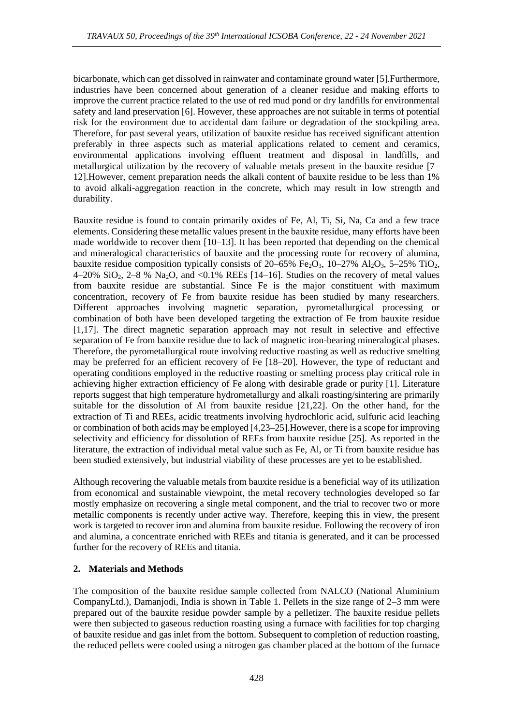bicarbonate, which can get dissolved in rainwater and contaminate ground water [5].Furthermore, industries have been concerned about generation of a cleaner residue and making efforts to improve the current practice related to the use of red mud pond or dry landfills for environmental safety and land preservation [6]. However, these approaches are not suitable in terms of potential risk for the environment due to accidental dam failure or degradation of the stockpiling area. Therefore, for past several years, utilization of bauxite residue has received significant attention preferably in three aspects such as material applications related to cement and ceramics, environmental applications involving effluent treatment and disposal in landfills, and metallurgical utilization by the recovery of valuable metals present in the bauxite residue [7– 12].However, cement preparation needs the alkali content of bauxite residue to be less than 1% to avoid alkali-aggregation reaction in the concrete, which may result in low strength and durability.

Bauxite residue is found to contain primarily oxides of Fe, Al, Ti, Si, Na, Ca and a few trace elements. Considering these metallic values present in the bauxite residue, many efforts have been made worldwide to recover them  $[10-13]$ . It has been reported that depending on the chemical and mineralogical characteristics of bauxite and the processing route for recovery of alumina, bauxite residue composition typically consists of  $20-65\%$  Fe<sub>2</sub>O<sub>3</sub>,  $10-27\%$  Al<sub>2</sub>O<sub>3</sub>,  $5-25\%$  TiO<sub>2</sub>, 4–20% SiO2, 2–8 % Na2O, and <0.1% REEs [14–16]. Studies on the recovery of metal values from bauxite residue are substantial. Since Fe is the major constituent with maximum concentration, recovery of Fe from bauxite residue has been studied by many researchers. Different approaches involving magnetic separation, pyrometallurgical processing or combination of both have been developed targeting the extraction of Fe from bauxite residue [1,17]. The direct magnetic separation approach may not result in selective and effective separation of Fe from bauxite residue due to lack of magnetic iron-bearing mineralogical phases. Therefore, the pyrometallurgical route involving reductive roasting as well as reductive smelting may be preferred for an efficient recovery of Fe [18–20]. However, the type of reductant and operating conditions employed in the reductive roasting or smelting process play critical role in achieving higher extraction efficiency of Fe along with desirable grade or purity [1]. Literature reports suggest that high temperature hydrometallurgy and alkali roasting/sintering are primarily suitable for the dissolution of Al from bauxite residue [21,22]. On the other hand, for the extraction of Ti and REEs, acidic treatments involving hydrochloric acid, sulfuric acid leaching or combination of both acids may be employed [4,23–25].However, there is a scope for improving selectivity and efficiency for dissolution of REEs from bauxite residue [25]. As reported in the literature, the extraction of individual metal value such as Fe, Al, or Ti from bauxite residue has been studied extensively, but industrial viability of these processes are yet to be established.

Although recovering the valuable metals from bauxite residue is a beneficial way of its utilization from economical and sustainable viewpoint, the metal recovery technologies developed so far mostly emphasize on recovering a single metal component, and the trial to recover two or more metallic components is recently under active way. Therefore, keeping this in view, the present work is targeted to recover iron and alumina from bauxite residue. Following the recovery of iron and alumina, a concentrate enriched with REEs and titania is generated, and it can be processed further for the recovery of REEs and titania.

#### **2. Materials and Methods**

The composition of the bauxite residue sample collected from NALCO (National Aluminium CompanyLtd.), Damanjodi, India is shown in Table 1. Pellets in the size range of 2–3 mm were prepared out of the bauxite residue powder sample by a pelletizer. The bauxite residue pellets were then subjected to gaseous reduction roasting using a furnace with facilities for top charging of bauxite residue and gas inlet from the bottom. Subsequent to completion of reduction roasting, the reduced pellets were cooled using a nitrogen gas chamber placed at the bottom of the furnace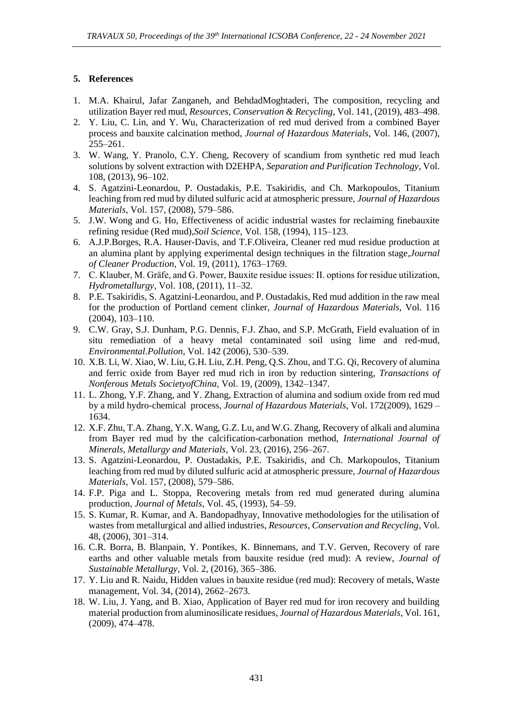## **5. References**

- 1. M.A. Khairul, Jafar Zanganeh, and BehdadMoghtaderi, The composition, recycling and utilization Bayer red mud, *Resources, Conservation & Recycling*, Vol. 141, (2019), 483–498.
- 2. Y. Liu, C. Lin, and Y. Wu, Characterization of red mud derived from a combined Bayer process and bauxite calcination method, *Journal of Hazardous Materials*, Vol. 146, (2007), 255–261.
- 3. W. Wang, Y. Pranolo, C.Y. Cheng, Recovery of scandium from synthetic red mud leach solutions by solvent extraction with D2EHPA, *Separation and Purification Technology*, Vol. 108, (2013), 96–102.
- 4. S. Agatzini-Leonardou, P. Oustadakis, P.E. Tsakiridis, and Ch. Markopoulos, Titanium leaching from red mud by diluted sulfuric acid at atmospheric pressure, *Journal of Hazardous Materials*, Vol. 157, (2008), 579–586.
- 5. J.W. Wong and G. Ho, Effectiveness of acidic industrial wastes for reclaiming finebauxite refining residue (Red mud),*Soil Science*, Vol. 158, (1994), 115–123.
- 6. A.J.P.Borges, R.A. Hauser-Davis, and T.F.Oliveira, Cleaner red mud residue production at an alumina plant by applying experimental design techniques in the filtration stage,*Journal of Cleaner Production*, Vol. 19, (2011), 1763–1769.
- 7. C. Klauber, M. Gräfe, and G. Power, Bauxite residue issues: II. options for residue utilization, *Hydrometallurgy*, Vol. 108, (2011), 11–32.
- 8. P.E. Tsakiridis, S. Agatzini-Leonardou, and P. Oustadakis, Red mud addition in the raw meal for the production of Portland cement clinker, *Journal of Hazardous Materials,* Vol. 116 (2004), 103–110.
- 9. C.W. Gray, S.J. Dunham, P.G. Dennis, F.J. Zhao, and S.P. McGrath, Field evaluation of in situ remediation of a heavy metal contaminated soil using lime and red-mud, *Environmental.Pollution*, Vol. 142 (2006), 530–539.
- 10. X.B. Li, W. Xiao, W. Liu, G.H. Liu, Z.H. Peng, Q.S. Zhou, and T.G. Qi, Recovery of alumina and ferric oxide from Bayer red mud rich in iron by reduction sintering, *Transactions of Nonferous Metals SocietyofChina*, Vol. 19, (2009), 1342–1347.
- 11. L. Zhong, Y.F. Zhang, and Y. Zhang, Extraction of alumina and sodium oxide from red mud by a mild hydro-chemical process, *Journal of Hazardous Materials*, Vol. 172(2009), 1629 – 1634.
- 12. X.F. Zhu, T.A. Zhang, Y.X. Wang, G.Z. Lu, and W.G. Zhang, Recovery of alkali and alumina from Bayer red mud by the calcification-carbonation method, *International Journal of Minerals, Metallurgy and Materials*, Vol. 23, (2016), 256–267.
- 13. S. Agatzini-Leonardou, P. Oustadakis, P.E. Tsakiridis, and Ch. Markopoulos, Titanium leaching from red mud by diluted sulfuric acid at atmospheric pressure, *Journal of Hazardous Materials*, Vol. 157, (2008), 579–586.
- 14. F.P. Piga and L. Stoppa, Recovering metals from red mud generated during alumina production, *Journal of Metals*, Vol. 45, (1993), 54–59.
- 15. S. Kumar, R. Kumar, and A. Bandopadhyay, Innovative methodologies for the utilisation of wastes from metallurgical and allied industries, *Resources, Conservation and Recycling*, Vol. 48, (2006), 301–314.
- 16. C.R. Borra, B. Blanpain, Y. Pontikes, K. Binnemans, and T.V. Gerven, Recovery of rare earths and other valuable metals from bauxite residue (red mud): A review, *Journal of Sustainable Metallurgy*, Vol. 2, (2016), 365–386.
- 17. Y. Liu and R. Naidu, Hidden values in bauxite residue (red mud): Recovery of metals, Waste management, Vol. 34, (2014), 2662–2673.
- 18. W. Liu, J. Yang, and B. Xiao, Application of Bayer red mud for iron recovery and building material production from aluminosilicate residues, *Journal of Hazardous Materials*, Vol. 161, (2009), 474–478.